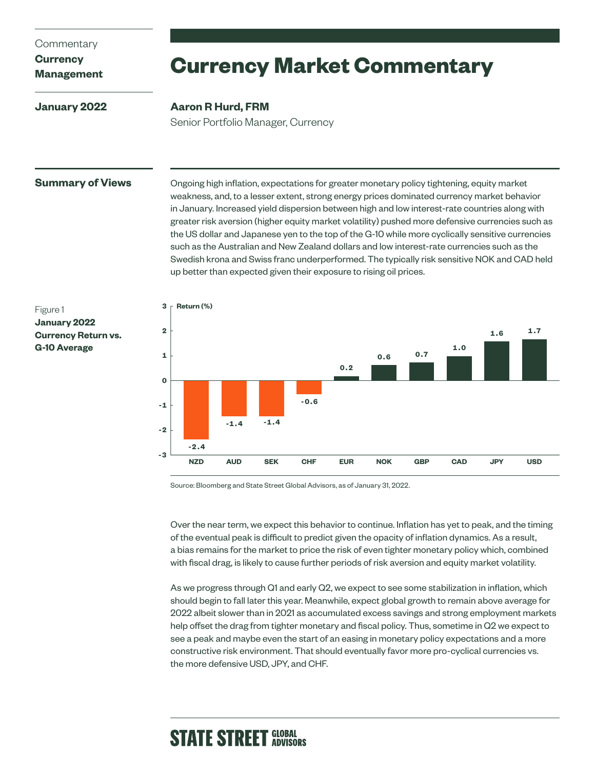### **Commentary**

# **Currency**

# **Management**

**January 2022**

# **Currency Market Commentary**

### **Aaron R Hurd, FRM**

Senior Portfolio Manager, Currency

**Summary of Views** Ongoing high inflation, expectations for greater monetary policy tightening, equity market weakness, and, to a lesser extent, strong energy prices dominated currency market behavior in January. Increased yield dispersion between high and low interest-rate countries along with greater risk aversion (higher equity market volatility) pushed more defensive currencies such as the US dollar and Japanese yen to the top of the G-10 while more cyclically sensitive currencies such as the Australian and New Zealand dollars and low interest-rate currencies such as the Swedish krona and Swiss franc underperformed. The typically risk sensitive NOK and CAD held up better than expected given their exposure to rising oil prices.





Source: Bloomberg and State Street Global Advisors, as of January 31, 2022.

Over the near term, we expect this behavior to continue. Inflation has yet to peak, and the timing of the eventual peak is difficult to predict given the opacity of inflation dynamics. As a result, a bias remains for the market to price the risk of even tighter monetary policy which, combined with fiscal drag, is likely to cause further periods of risk aversion and equity market volatility.

As we progress through Q1 and early Q2, we expect to see some stabilization in inflation, which should begin to fall later this year. Meanwhile, expect global growth to remain above average for 2022 albeit slower than in 2021 as accumulated excess savings and strong employment markets help offset the drag from tighter monetary and fiscal policy. Thus, sometime in Q2 we expect to see a peak and maybe even the start of an easing in monetary policy expectations and a more constructive risk environment. That should eventually favor more pro-cyclical currencies vs. the more defensive USD, JPY, and CHF.

# **STATE STREET GLOBAL**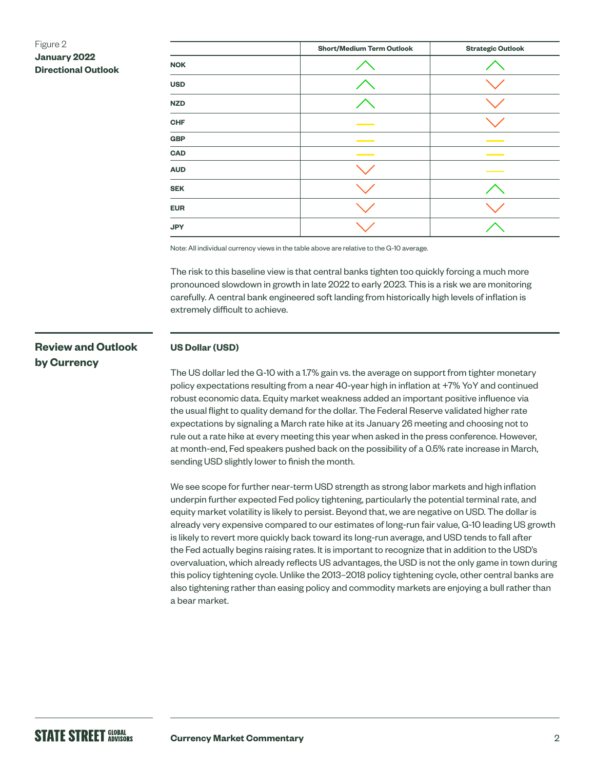# Figure 2 **January 2022 Directional Outlook**

|            | <b>Short/Medium Term Outlook</b>  | <b>Strategic Outlook</b> |
|------------|-----------------------------------|--------------------------|
| <b>NOK</b> |                                   |                          |
| <b>USD</b> |                                   |                          |
| <b>NZD</b> |                                   |                          |
| <b>CHF</b> |                                   |                          |
| GBP        | <b>Contract Contract Contract</b> |                          |
| <b>CAD</b> |                                   |                          |
| <b>AUD</b> |                                   |                          |
| <b>SEK</b> |                                   |                          |
| <b>EUR</b> |                                   |                          |
| <b>JPY</b> |                                   |                          |

Note: All individual currency views in the table above are relative to the G-10 average.

The risk to this baseline view is that central banks tighten too quickly forcing a much more pronounced slowdown in growth in late 2022 to early 2023. This is a risk we are monitoring carefully. A central bank engineered soft landing from historically high levels of inflation is extremely difficult to achieve.

# **Review and Outlook by Currency**

#### **US Dollar (USD)**

The US dollar led the G-10 with a 1.7% gain vs. the average on support from tighter monetary policy expectations resulting from a near 40-year high in inflation at +7% YoY and continued robust economic data. Equity market weakness added an important positive influence via the usual flight to quality demand for the dollar. The Federal Reserve validated higher rate expectations by signaling a March rate hike at its January 26 meeting and choosing not to rule out a rate hike at every meeting this year when asked in the press conference. However, at month-end, Fed speakers pushed back on the possibility of a 0.5% rate increase in March, sending USD slightly lower to finish the month.

We see scope for further near-term USD strength as strong labor markets and high inflation underpin further expected Fed policy tightening, particularly the potential terminal rate, and equity market volatility is likely to persist. Beyond that, we are negative on USD. The dollar is already very expensive compared to our estimates of long-run fair value, G-10 leading US growth is likely to revert more quickly back toward its long-run average, and USD tends to fall after the Fed actually begins raising rates. It is important to recognize that in addition to the USD's overvaluation, which already reflects US advantages, the USD is not the only game in town during this policy tightening cycle. Unlike the 2013–2018 policy tightening cycle, other central banks are also tightening rather than easing policy and commodity markets are enjoying a bull rather than a bear market.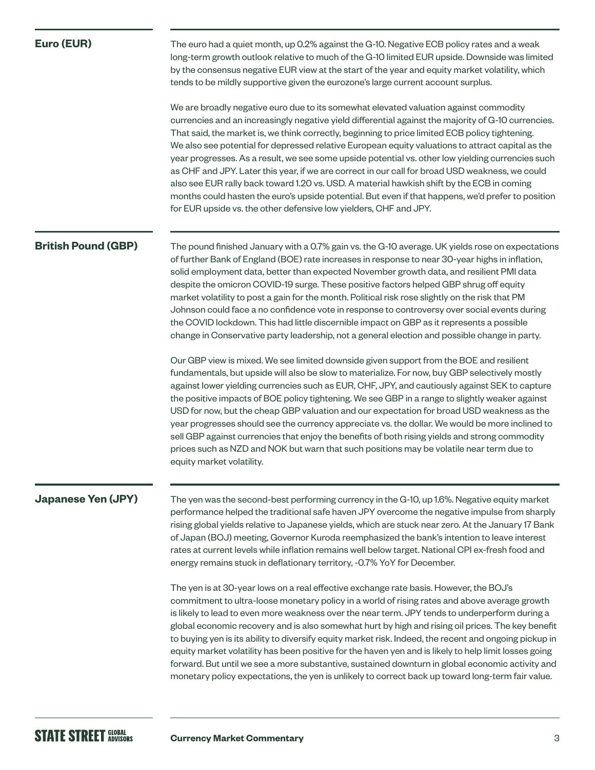| Euro (EUR)                 | The euro had a quiet month, up 0.2% against the G-10. Negative ECB policy rates and a weak<br>long-term growth outlook relative to much of the G-10 limited EUR upside. Downside was limited<br>by the consensus negative EUR view at the start of the year and equity market volatility, which<br>tends to be mildly supportive given the eurozone's large current account surplus.<br>We are broadly negative euro due to its somewhat elevated valuation against commodity<br>currencies and an increasingly negative yield differential against the majority of G-10 currencies.<br>That said, the market is, we think correctly, beginning to price limited ECB policy tightening.<br>We also see potential for depressed relative European equity valuations to attract capital as the<br>year progresses. As a result, we see some upside potential vs. other low yielding currencies such<br>as CHF and JPY. Later this year, if we are correct in our call for broad USD weakness, we could<br>also see EUR rally back toward 1.20 vs. USD. A material hawkish shift by the ECB in coming<br>months could hasten the euro's upside potential. But even if that happens, we'd prefer to position<br>for EUR upside vs. the other defensive low yielders, CHF and JPY.                                                                                                                                                                                                                                                                                                                                             |
|----------------------------|---------------------------------------------------------------------------------------------------------------------------------------------------------------------------------------------------------------------------------------------------------------------------------------------------------------------------------------------------------------------------------------------------------------------------------------------------------------------------------------------------------------------------------------------------------------------------------------------------------------------------------------------------------------------------------------------------------------------------------------------------------------------------------------------------------------------------------------------------------------------------------------------------------------------------------------------------------------------------------------------------------------------------------------------------------------------------------------------------------------------------------------------------------------------------------------------------------------------------------------------------------------------------------------------------------------------------------------------------------------------------------------------------------------------------------------------------------------------------------------------------------------------------------------------------------------------------------------------------------------------------|
| <b>British Pound (GBP)</b> | The pound finished January with a 0.7% gain vs. the G-10 average. UK yields rose on expectations<br>of further Bank of England (BOE) rate increases in response to near 30-year highs in inflation,<br>solid employment data, better than expected November growth data, and resilient PMI data<br>despite the omicron COVID-19 surge. These positive factors helped GBP shrug off equity<br>market volatility to post a gain for the month. Political risk rose slightly on the risk that PM<br>Johnson could face a no confidence vote in response to controversy over social events during<br>the COVID lockdown. This had little discernible impact on GBP as it represents a possible<br>change in Conservative party leadership, not a general election and possible change in party.<br>Our GBP view is mixed. We see limited downside given support from the BOE and resilient<br>fundamentals, but upside will also be slow to materialize. For now, buy GBP selectively mostly<br>against lower yielding currencies such as EUR, CHF, JPY, and cautiously against SEK to capture<br>the positive impacts of BOE policy tightening. We see GBP in a range to slightly weaker against<br>USD for now, but the cheap GBP valuation and our expectation for broad USD weakness as the<br>year progresses should see the currency appreciate vs. the dollar. We would be more inclined to<br>sell GBP against currencies that enjoy the benefits of both rising yields and strong commodity<br>prices such as NZD and NOK but warn that such positions may be volatile near term due to<br>equity market volatility. |
| <b>Japanese Yen (JPY)</b>  | The yen was the second-best performing currency in the G-10, up 1.6%. Negative equity market<br>performance helped the traditional safe haven JPY overcome the negative impulse from sharply<br>rising global yields relative to Japanese yields, which are stuck near zero. At the January 17 Bank<br>of Japan (BOJ) meeting, Governor Kuroda reemphasized the bank's intention to leave interest<br>rates at current levels while inflation remains well below target. National CPI ex-fresh food and<br>energy remains stuck in deflationary territory, -0.7% YoY for December.<br>The yen is at 30-year lows on a real effective exchange rate basis. However, the BOJ's<br>commitment to ultra-loose monetary policy in a world of rising rates and above average growth<br>is likely to lead to even more weakness over the near term. JPY tends to underperform during a<br>global economic recovery and is also somewhat hurt by high and rising oil prices. The key benefit<br>to buying yen is its ability to diversify equity market risk. Indeed, the recent and ongoing pickup in<br>equity market volatility has been positive for the haven yen and is likely to help limit losses going<br>forward. But until we see a more substantive, sustained downturn in global economic activity and<br>monetary policy expectations, the yen is unlikely to correct back up toward long-term fair value.                                                                                                                                                                                                          |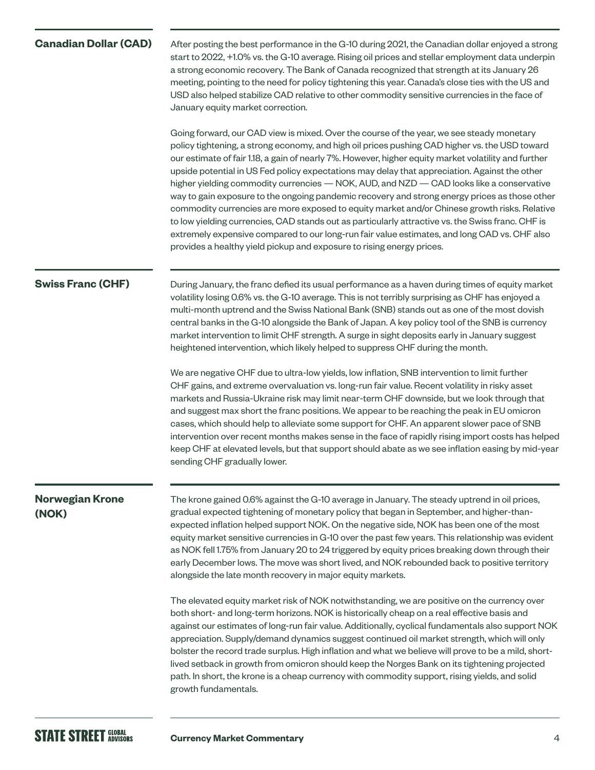# **Canadian Dollar (CAD)**

After posting the best performance in the G-10 during 2021, the Canadian dollar enjoyed a strong start to 2022, +1.0% vs. the G-10 average. Rising oil prices and stellar employment data underpin a strong economic recovery. The Bank of Canada recognized that strength at its January 26 meeting, pointing to the need for policy tightening this year. Canada's close ties with the US and USD also helped stabilize CAD relative to other commodity sensitive currencies in the face of January equity market correction.

Going forward, our CAD view is mixed. Over the course of the year, we see steady monetary policy tightening, a strong economy, and high oil prices pushing CAD higher vs. the USD toward our estimate of fair 1.18, a gain of nearly 7%. However, higher equity market volatility and further upside potential in US Fed policy expectations may delay that appreciation. Against the other higher yielding commodity currencies — NOK, AUD, and NZD — CAD looks like a conservative way to gain exposure to the ongoing pandemic recovery and strong energy prices as those other commodity currencies are more exposed to equity market and/or Chinese growth risks. Relative to low yielding currencies, CAD stands out as particularly attractive vs. the Swiss franc. CHF is extremely expensive compared to our long-run fair value estimates, and long CAD vs. CHF also provides a healthy yield pickup and exposure to rising energy prices.

### **Swiss Franc (CHF)**

During January, the franc defied its usual performance as a haven during times of equity market volatility losing 0.6% vs. the G-10 average. This is not terribly surprising as CHF has enjoyed a multi-month uptrend and the Swiss National Bank (SNB) stands out as one of the most dovish central banks in the G-10 alongside the Bank of Japan. A key policy tool of the SNB is currency market intervention to limit CHF strength. A surge in sight deposits early in January suggest heightened intervention, which likely helped to suppress CHF during the month.

We are negative CHF due to ultra-low yields, low inflation, SNB intervention to limit further CHF gains, and extreme overvaluation vs. long-run fair value. Recent volatility in risky asset markets and Russia-Ukraine risk may limit near-term CHF downside, but we look through that and suggest max short the franc positions. We appear to be reaching the peak in EU omicron cases, which should help to alleviate some support for CHF. An apparent slower pace of SNB intervention over recent months makes sense in the face of rapidly rising import costs has helped keep CHF at elevated levels, but that support should abate as we see inflation easing by mid-year sending CHF gradually lower.

# **Norwegian Krone (NOK)**

The krone gained 0.6% against the G-10 average in January. The steady uptrend in oil prices, gradual expected tightening of monetary policy that began in September, and higher-thanexpected inflation helped support NOK. On the negative side, NOK has been one of the most equity market sensitive currencies in G-10 over the past few years. This relationship was evident as NOK fell 1.75% from January 20 to 24 triggered by equity prices breaking down through their early December lows. The move was short lived, and NOK rebounded back to positive territory alongside the late month recovery in major equity markets.

The elevated equity market risk of NOK notwithstanding, we are positive on the currency over both short- and long-term horizons. NOK is historically cheap on a real effective basis and against our estimates of long-run fair value. Additionally, cyclical fundamentals also support NOK appreciation. Supply/demand dynamics suggest continued oil market strength, which will only bolster the record trade surplus. High inflation and what we believe will prove to be a mild, shortlived setback in growth from omicron should keep the Norges Bank on its tightening projected path. In short, the krone is a cheap currency with commodity support, rising yields, and solid growth fundamentals.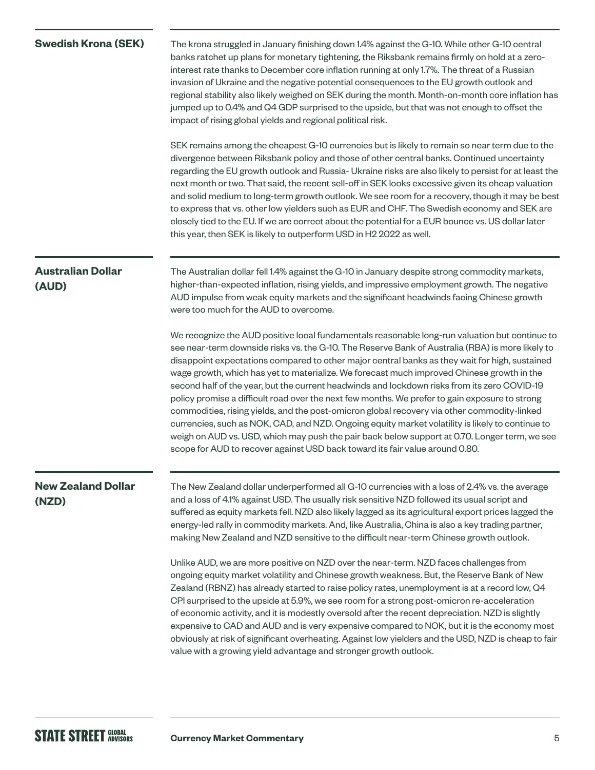| <b>Swedish Krona (SEK)</b>         | The krona struggled in January finishing down 1.4% against the G-10. While other G-10 central<br>banks ratchet up plans for monetary tightening, the Riksbank remains firmly on hold at a zero-<br>interest rate thanks to December core inflation running at only 1.7%. The threat of a Russian<br>invasion of Ukraine and the negative potential consequences to the EU growth outlook and<br>regional stability also likely weighed on SEK during the month. Month-on-month core inflation has<br>jumped up to 0.4% and Q4 GDP surprised to the upside, but that was not enough to offset the<br>impact of rising global yields and regional political risk.<br>SEK remains among the cheapest G-10 currencies but is likely to remain so near term due to the<br>divergence between Riksbank policy and those of other central banks. Continued uncertainty<br>regarding the EU growth outlook and Russia- Ukraine risks are also likely to persist for at least the<br>next month or two. That said, the recent sell-off in SEK looks excessive given its cheap valuation<br>and solid medium to long-term growth outlook. We see room for a recovery, though it may be best<br>to express that vs. other low yielders such as EUR and CHF. The Swedish economy and SEK are<br>closely tied to the EU. If we are correct about the potential for a EUR bounce vs. US dollar later<br>this year, then SEK is likely to outperform USD in H2 2022 as well. |
|------------------------------------|---------------------------------------------------------------------------------------------------------------------------------------------------------------------------------------------------------------------------------------------------------------------------------------------------------------------------------------------------------------------------------------------------------------------------------------------------------------------------------------------------------------------------------------------------------------------------------------------------------------------------------------------------------------------------------------------------------------------------------------------------------------------------------------------------------------------------------------------------------------------------------------------------------------------------------------------------------------------------------------------------------------------------------------------------------------------------------------------------------------------------------------------------------------------------------------------------------------------------------------------------------------------------------------------------------------------------------------------------------------------------------------------------------------------------------------------------------------|
|                                    |                                                                                                                                                                                                                                                                                                                                                                                                                                                                                                                                                                                                                                                                                                                                                                                                                                                                                                                                                                                                                                                                                                                                                                                                                                                                                                                                                                                                                                                               |
| <b>Australian Dollar</b><br>(AUD)  | The Australian dollar fell 1.4% against the G-10 in January despite strong commodity markets,<br>higher-than-expected inflation, rising yields, and impressive employment growth. The negative<br>AUD impulse from weak equity markets and the significant headwinds facing Chinese growth<br>were too much for the AUD to overcome.                                                                                                                                                                                                                                                                                                                                                                                                                                                                                                                                                                                                                                                                                                                                                                                                                                                                                                                                                                                                                                                                                                                          |
|                                    | We recognize the AUD positive local fundamentals reasonable long-run valuation but continue to<br>see near-term downside risks vs. the G-10. The Reserve Bank of Australia (RBA) is more likely to<br>disappoint expectations compared to other major central banks as they wait for high, sustained<br>wage growth, which has yet to materialize. We forecast much improved Chinese growth in the<br>second half of the year, but the current headwinds and lockdown risks from its zero COVID-19<br>policy promise a difficult road over the next few months. We prefer to gain exposure to strong<br>commodities, rising yields, and the post-omicron global recovery via other commodity-linked<br>currencies, such as NOK, CAD, and NZD. Ongoing equity market volatility is likely to continue to<br>weigh on AUD vs. USD, which may push the pair back below support at 0.70. Longer term, we see<br>scope for AUD to recover against USD back toward its fair value around 0.80.                                                                                                                                                                                                                                                                                                                                                                                                                                                                      |
| <b>New Zealand Dollar</b><br>(NZD) | The New Zealand dollar underperformed all G-10 currencies with a loss of 2.4% vs. the average<br>and a loss of 4.1% against USD. The usually risk sensitive NZD followed its usual script and<br>suffered as equity markets fell. NZD also likely lagged as its agricultural export prices lagged the<br>energy-led rally in commodity markets. And, like Australia, China is also a key trading partner,<br>making New Zealand and NZD sensitive to the difficult near-term Chinese growth outlook.                                                                                                                                                                                                                                                                                                                                                                                                                                                                                                                                                                                                                                                                                                                                                                                                                                                                                                                                                          |
|                                    | Unlike AUD, we are more positive on NZD over the near-term. NZD faces challenges from<br>ongoing equity market volatility and Chinese growth weakness. But, the Reserve Bank of New<br>Zealand (RBNZ) has already started to raise policy rates, unemployment is at a record low, Q4<br>CPI surprised to the upside at 5.9%, we see room for a strong post-omicron re-acceleration<br>of economic activity, and it is modestly oversold after the recent depreciation. NZD is slightly<br>expensive to CAD and AUD and is very expensive compared to NOK, but it is the economy most<br>obviously at risk of significant overheating. Against low yielders and the USD, NZD is cheap to fair<br>value with a growing yield advantage and stronger growth outlook.                                                                                                                                                                                                                                                                                                                                                                                                                                                                                                                                                                                                                                                                                             |